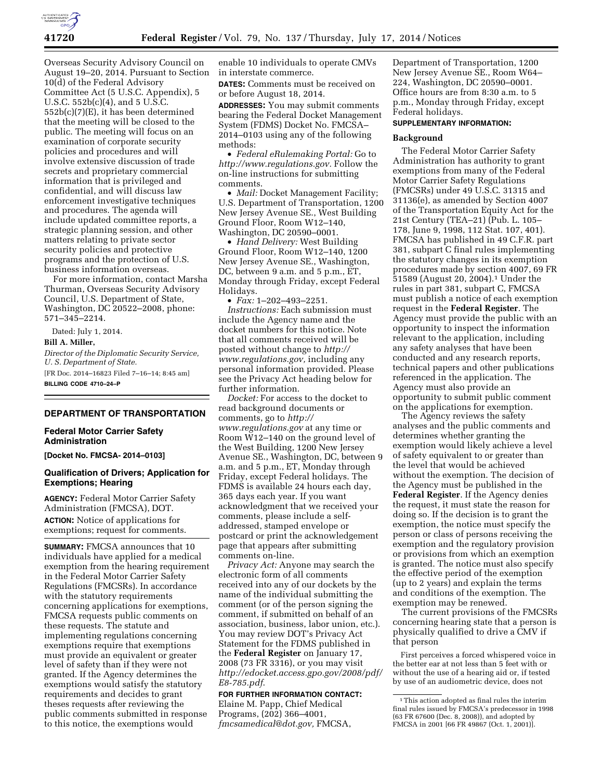

Overseas Security Advisory Council on August 19–20, 2014. Pursuant to Section 10(d) of the Federal Advisory Committee Act (5 U.S.C. Appendix), 5 U.S.C. 552b(c)(4), and 5 U.S.C. 552b(c)(7)(E), it has been determined that the meeting will be closed to the public. The meeting will focus on an examination of corporate security policies and procedures and will involve extensive discussion of trade secrets and proprietary commercial information that is privileged and confidential, and will discuss law enforcement investigative techniques and procedures. The agenda will include updated committee reports, a strategic planning session, and other matters relating to private sector security policies and protective programs and the protection of U.S. business information overseas.

For more information, contact Marsha Thurman, Overseas Security Advisory Council, U.S. Department of State, Washington, DC 20522–2008, phone: 571–345–2214.

Dated: July 1, 2014.

#### **Bill A. Miller,**

*Director of the Diplomatic Security Service, U. S. Department of State.* 

[FR Doc. 2014–16823 Filed 7–16–14; 8:45 am] **BILLING CODE 4710–24–P** 

#### **DEPARTMENT OF TRANSPORTATION**

# **Federal Motor Carrier Safety Administration**

**[Docket No. FMCSA- 2014–0103]** 

# **Qualification of Drivers; Application for Exemptions; Hearing**

**AGENCY:** Federal Motor Carrier Safety Administration (FMCSA), DOT. **ACTION:** Notice of applications for exemptions; request for comments.

**SUMMARY:** FMCSA announces that 10 individuals have applied for a medical exemption from the hearing requirement in the Federal Motor Carrier Safety Regulations (FMCSRs). In accordance with the statutory requirements concerning applications for exemptions, FMCSA requests public comments on these requests. The statute and implementing regulations concerning exemptions require that exemptions must provide an equivalent or greater level of safety than if they were not granted. If the Agency determines the exemptions would satisfy the statutory requirements and decides to grant theses requests after reviewing the public comments submitted in response to this notice, the exemptions would

enable 10 individuals to operate CMVs in interstate commerce.

**DATES:** Comments must be received on or before August 18, 2014.

**ADDRESSES:** You may submit comments bearing the Federal Docket Management System (FDMS) Docket No. FMCSA– 2014–0103 using any of the following methods:

• *Federal eRulemaking Portal:* Go to *[http://www.regulations.gov.](http://www.regulations.gov)* Follow the on-line instructions for submitting comments.

• *Mail:* Docket Management Facility; U.S. Department of Transportation, 1200 New Jersey Avenue SE., West Building Ground Floor, Room W12–140, Washington, DC 20590–0001.

• *Hand Delivery:* West Building Ground Floor, Room W12–140, 1200 New Jersey Avenue SE., Washington, DC, between 9 a.m. and 5 p.m., ET, Monday through Friday, except Federal Holidays.

• *Fax:* 1–202–493–2251.

*Instructions:* Each submission must include the Agency name and the docket numbers for this notice. Note that all comments received will be posted without change to *[http://](http://www.regulations.gov) [www.regulations.gov,](http://www.regulations.gov)* including any personal information provided. Please see the Privacy Act heading below for further information.

*Docket:* For access to the docket to read background documents or comments, go to *[http://](http://www.regulations.gov) [www.regulations.gov](http://www.regulations.gov)* at any time or Room W12–140 on the ground level of the West Building, 1200 New Jersey Avenue SE., Washington, DC, between 9 a.m. and 5 p.m., ET, Monday through Friday, except Federal holidays. The FDMS is available 24 hours each day, 365 days each year. If you want acknowledgment that we received your comments, please include a selfaddressed, stamped envelope or postcard or print the acknowledgement page that appears after submitting comments on-line.

*Privacy Act:* Anyone may search the electronic form of all comments received into any of our dockets by the name of the individual submitting the comment (or of the person signing the comment, if submitted on behalf of an association, business, labor union, etc.). You may review DOT's Privacy Act Statement for the FDMS published in the **Federal Register** on January 17, 2008 (73 FR 3316), or you may visit *[http://edocket.access.gpo.gov/2008/pdf/](http://edocket.access.gpo.gov/2008/pdf/E8-785.pdf) [E8-785.pdf](http://edocket.access.gpo.gov/2008/pdf/E8-785.pdf)*.

**FOR FURTHER INFORMATION CONTACT:**  Elaine M. Papp, Chief Medical Programs, (202) 366–4001, *[fmcsamedical@dot.gov,](mailto:fmcsamedical@dot.gov)* FMCSA,

Department of Transportation, 1200 New Jersey Avenue SE., Room W64– 224, Washington, DC 20590–0001. Office hours are from 8:30 a.m. to 5 p.m., Monday through Friday, except Federal holidays.

## **SUPPLEMENTARY INFORMATION:**

#### **Background**

The Federal Motor Carrier Safety Administration has authority to grant exemptions from many of the Federal Motor Carrier Safety Regulations (FMCSRs) under 49 U.S.C. 31315 and 31136(e), as amended by Section 4007 of the Transportation Equity Act for the 21st Century (TEA–21) (Pub. L. 105– 178, June 9, 1998, 112 Stat. 107, 401). FMCSA has published in 49 C.F.R. part 381, subpart C final rules implementing the statutory changes in its exemption procedures made by section 4007, 69 FR 51589 (August 20, 2004).1 Under the rules in part 381, subpart C, FMCSA must publish a notice of each exemption request in the **Federal Register**. The Agency must provide the public with an opportunity to inspect the information relevant to the application, including any safety analyses that have been conducted and any research reports, technical papers and other publications referenced in the application. The Agency must also provide an opportunity to submit public comment on the applications for exemption.

The Agency reviews the safety analyses and the public comments and determines whether granting the exemption would likely achieve a level of safety equivalent to or greater than the level that would be achieved without the exemption. The decision of the Agency must be published in the **Federal Register**. If the Agency denies the request, it must state the reason for doing so. If the decision is to grant the exemption, the notice must specify the person or class of persons receiving the exemption and the regulatory provision or provisions from which an exemption is granted. The notice must also specify the effective period of the exemption (up to 2 years) and explain the terms and conditions of the exemption. The exemption may be renewed.

The current provisions of the FMCSRs concerning hearing state that a person is physically qualified to drive a CMV if that person

First perceives a forced whispered voice in the better ear at not less than 5 feet with or without the use of a hearing aid or, if tested by use of an audiometric device, does not

<sup>1</sup>This action adopted as final rules the interim final rules issued by FMCSA's predecessor in 1998 (63 FR 67600 (Dec. 8, 2008)), and adopted by FMCSA in 2001 [66 FR 49867 (Oct. 1, 2001)].